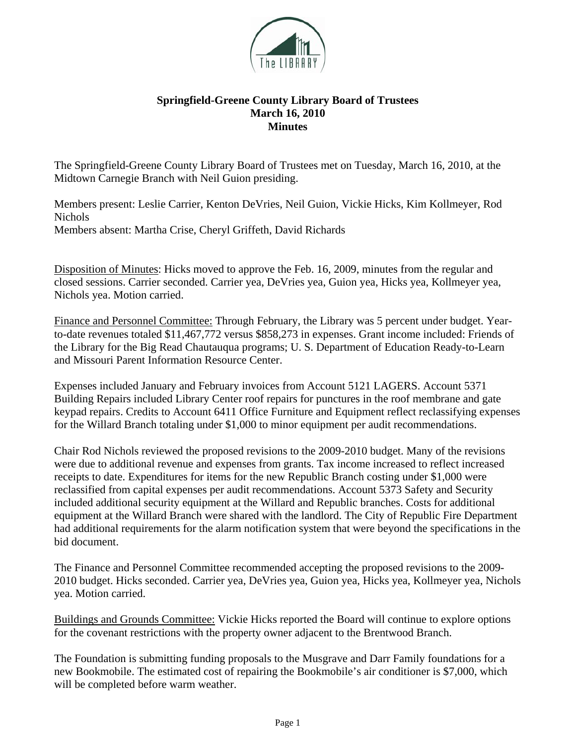

## **Springfield-Greene County Library Board of Trustees March 16, 2010 Minutes**

The Springfield-Greene County Library Board of Trustees met on Tuesday, March 16, 2010, at the Midtown Carnegie Branch with Neil Guion presiding.

Members present: Leslie Carrier, Kenton DeVries, Neil Guion, Vickie Hicks, Kim Kollmeyer, Rod Nichols Members absent: Martha Crise, Cheryl Griffeth, David Richards

Disposition of Minutes: Hicks moved to approve the Feb. 16, 2009, minutes from the regular and closed sessions. Carrier seconded. Carrier yea, DeVries yea, Guion yea, Hicks yea, Kollmeyer yea, Nichols yea. Motion carried.

Finance and Personnel Committee: Through February, the Library was 5 percent under budget. Yearto-date revenues totaled \$11,467,772 versus \$858,273 in expenses. Grant income included: Friends of the Library for the Big Read Chautauqua programs; U. S. Department of Education Ready-to-Learn and Missouri Parent Information Resource Center.

Expenses included January and February invoices from Account 5121 LAGERS. Account 5371 Building Repairs included Library Center roof repairs for punctures in the roof membrane and gate keypad repairs. Credits to Account 6411 Office Furniture and Equipment reflect reclassifying expenses for the Willard Branch totaling under \$1,000 to minor equipment per audit recommendations.

Chair Rod Nichols reviewed the proposed revisions to the 2009-2010 budget. Many of the revisions were due to additional revenue and expenses from grants. Tax income increased to reflect increased receipts to date. Expenditures for items for the new Republic Branch costing under \$1,000 were reclassified from capital expenses per audit recommendations. Account 5373 Safety and Security included additional security equipment at the Willard and Republic branches. Costs for additional equipment at the Willard Branch were shared with the landlord. The City of Republic Fire Department had additional requirements for the alarm notification system that were beyond the specifications in the bid document.

The Finance and Personnel Committee recommended accepting the proposed revisions to the 2009- 2010 budget. Hicks seconded. Carrier yea, DeVries yea, Guion yea, Hicks yea, Kollmeyer yea, Nichols yea. Motion carried.

Buildings and Grounds Committee: Vickie Hicks reported the Board will continue to explore options for the covenant restrictions with the property owner adjacent to the Brentwood Branch.

The Foundation is submitting funding proposals to the Musgrave and Darr Family foundations for a new Bookmobile. The estimated cost of repairing the Bookmobile's air conditioner is \$7,000, which will be completed before warm weather.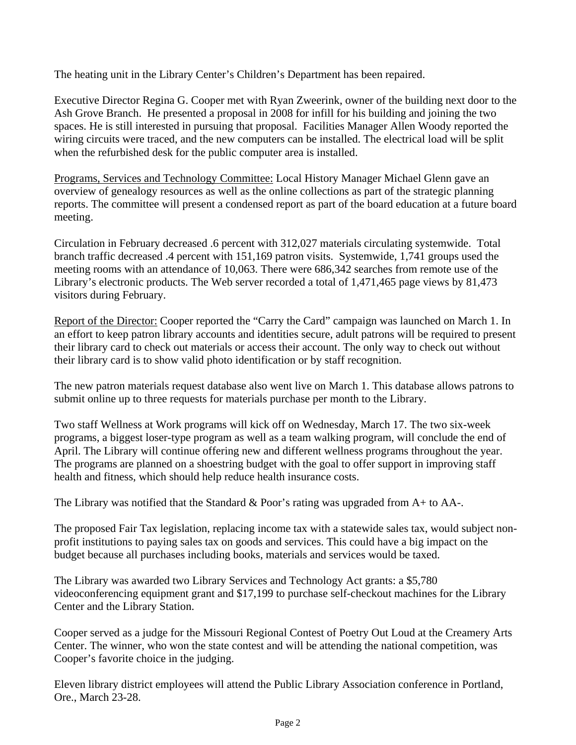The heating unit in the Library Center's Children's Department has been repaired.

Executive Director Regina G. Cooper met with Ryan Zweerink, owner of the building next door to the Ash Grove Branch. He presented a proposal in 2008 for infill for his building and joining the two spaces. He is still interested in pursuing that proposal. Facilities Manager Allen Woody reported the wiring circuits were traced, and the new computers can be installed. The electrical load will be split when the refurbished desk for the public computer area is installed.

Programs, Services and Technology Committee: Local History Manager Michael Glenn gave an overview of genealogy resources as well as the online collections as part of the strategic planning reports. The committee will present a condensed report as part of the board education at a future board meeting.

Circulation in February decreased .6 percent with 312,027 materials circulating systemwide. Total branch traffic decreased .4 percent with 151,169 patron visits. Systemwide, 1,741 groups used the meeting rooms with an attendance of 10,063. There were 686,342 searches from remote use of the Library's electronic products. The Web server recorded a total of 1,471,465 page views by 81,473 visitors during February.

Report of the Director: Cooper reported the "Carry the Card" campaign was launched on March 1. In an effort to keep patron library accounts and identities secure, adult patrons will be required to present their library card to check out materials or access their account. The only way to check out without their library card is to show valid photo identification or by staff recognition.

The new patron materials request database also went live on March 1. This database allows patrons to submit online up to three requests for materials purchase per month to the Library.

Two staff Wellness at Work programs will kick off on Wednesday, March 17. The two six-week programs, a biggest loser-type program as well as a team walking program, will conclude the end of April. The Library will continue offering new and different wellness programs throughout the year. The programs are planned on a shoestring budget with the goal to offer support in improving staff health and fitness, which should help reduce health insurance costs.

The Library was notified that the Standard & Poor's rating was upgraded from  $A+$  to  $AA-$ .

The proposed Fair Tax legislation, replacing income tax with a statewide sales tax, would subject nonprofit institutions to paying sales tax on goods and services. This could have a big impact on the budget because all purchases including books, materials and services would be taxed.

The Library was awarded two Library Services and Technology Act grants: a \$5,780 videoconferencing equipment grant and \$17,199 to purchase self-checkout machines for the Library Center and the Library Station.

Cooper served as a judge for the Missouri Regional Contest of Poetry Out Loud at the Creamery Arts Center. The winner, who won the state contest and will be attending the national competition, was Cooper's favorite choice in the judging.

Eleven library district employees will attend the Public Library Association conference in Portland, Ore., March 23-28.